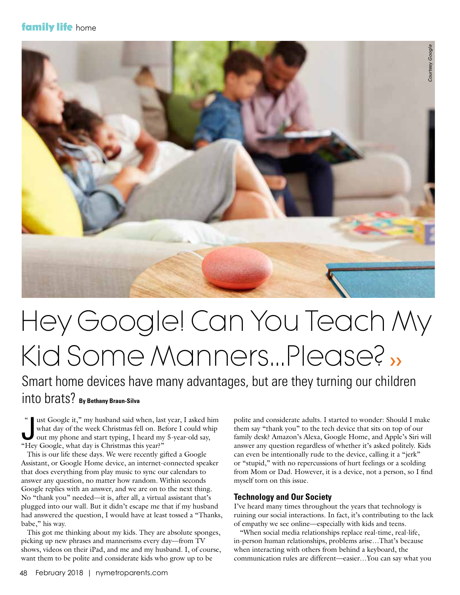### **family life** home



# Hey Google! Can You Teach My Kid Some Manners…Please? ››

## Smart home devices have many advantages, but are they turning our children into brats? **By Bethany Braun-Silva**

"I ust Google it," my husband said when, last<br>what day of the week Christmas fell on. Bet<br>out my phone and start typing, I heard my<br>"Hey Google, what day is Christmas this year?" ust Google it," my husband said when, last year, I asked him what day of the week Christmas fell on. Before I could whip out my phone and start typing, I heard my 5-year-old say,  $\epsilon$ 

 This is our life these days. We were recently gifted a Google Assistant, or Google Home device, an internet-connected speaker that does everything from play music to sync our calendars to answer any question, no matter how random. Within seconds Google replies with an answer, and we are on to the next thing. No "thank you" needed—it is, after all, a virtual assistant that's plugged into our wall. But it didn't escape me that if my husband had answered the question, I would have at least tossed a "Thanks, babe," his way.

 This got me thinking about my kids. They are absolute sponges, picking up new phrases and mannerisms every day—from TV shows, videos on their iPad, and me and my husband. I, of course, want them to be polite and considerate kids who grow up to be

polite and considerate adults. I started to wonder: Should I make them say "thank you" to the tech device that sits on top of our family desk? Amazon's Alexa, Google Home, and Apple's Siri will answer any question regardless of whether it's asked politely. Kids can even be intentionally rude to the device, calling it a "jerk" or "stupid," with no repercussions of hurt feelings or a scolding from Mom or Dad. However, it is a device, not a person, so I find myself torn on this issue.

#### **Technology and Our Society**

I've heard many times throughout the years that technology is ruining our social interactions. In fact, it's contributing to the lack of empathy we see online—especially with kids and teens.

 "When social media relationships replace real-time, real-life, in-person human relationships, problems arise…That's because when interacting with others from behind a keyboard, the communication rules are different—easier…You can say what you